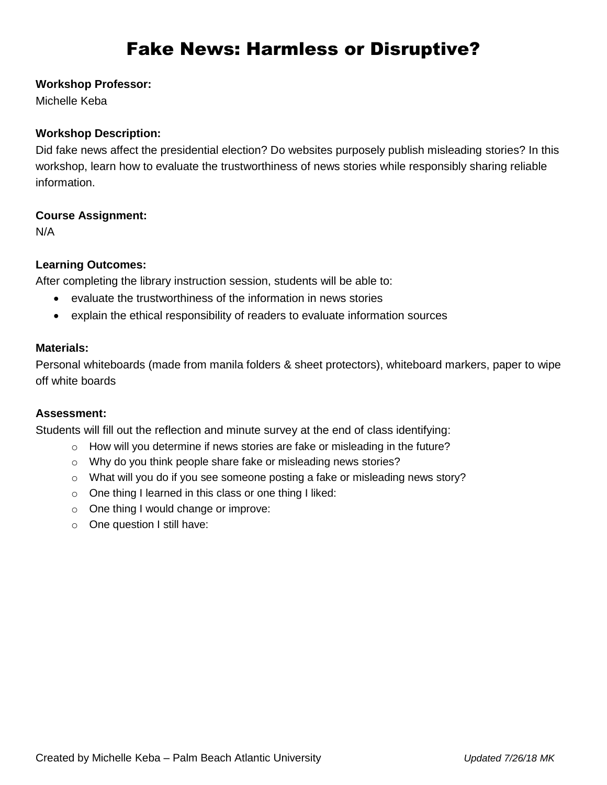# Fake News: Harmless or Disruptive?

#### **Workshop Professor:**

Michelle Keba

# **Workshop Description:**

Did fake news affect the presidential election? Do websites purposely publish misleading stories? In this workshop, learn how to evaluate the trustworthiness of news stories while responsibly sharing reliable information.

## **Course Assignment:**

N/A

# **Learning Outcomes:**

After completing the library instruction session, students will be able to:

- evaluate the trustworthiness of the information in news stories
- explain the ethical responsibility of readers to evaluate information sources

#### **Materials:**

Personal whiteboards (made from manila folders & sheet protectors), whiteboard markers, paper to wipe off white boards

#### **Assessment:**

Students will fill out the reflection and minute survey at the end of class identifying:

- $\circ$  How will you determine if news stories are fake or misleading in the future?
- o Why do you think people share fake or misleading news stories?
- o What will you do if you see someone posting a fake or misleading news story?
- o One thing I learned in this class or one thing I liked:
- o One thing I would change or improve:
- o One question I still have: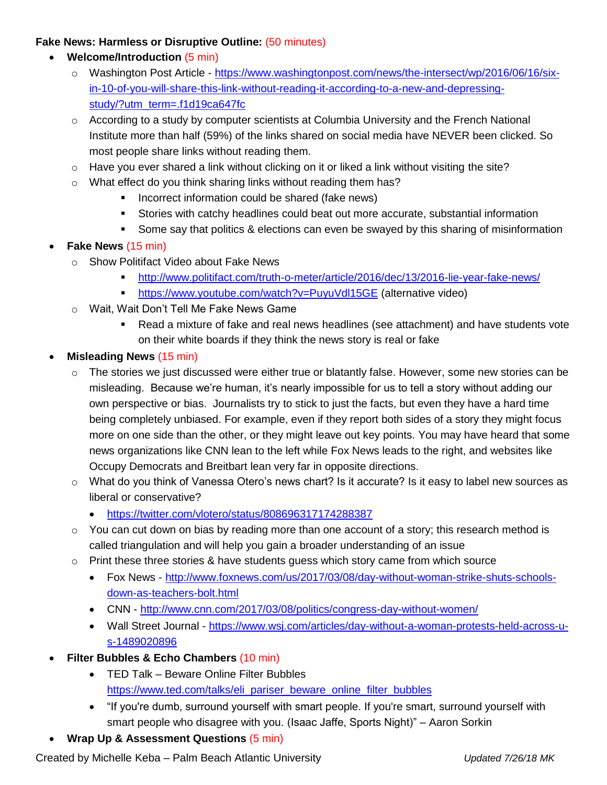#### **Fake News: Harmless or Disruptive Outline:** (50 minutes)

- **Welcome/Introduction** (5 min)
	- o Washington Post Article [https://www.washingtonpost.com/news/the-intersect/wp/2016/06/16/six](https://www.washingtonpost.com/news/the-intersect/wp/2016/06/16/six-in-10-of-you-will-share-this-link-without-reading-it-according-to-a-new-and-depressing-study/?utm_term=.f1d19ca647fc)[in-10-of-you-will-share-this-link-without-reading-it-according-to-a-new-and-depressing](https://www.washingtonpost.com/news/the-intersect/wp/2016/06/16/six-in-10-of-you-will-share-this-link-without-reading-it-according-to-a-new-and-depressing-study/?utm_term=.f1d19ca647fc)[study/?utm\\_term=.f1d19ca647fc](https://www.washingtonpost.com/news/the-intersect/wp/2016/06/16/six-in-10-of-you-will-share-this-link-without-reading-it-according-to-a-new-and-depressing-study/?utm_term=.f1d19ca647fc)
	- o According to a study by computer scientists at Columbia University and the French National Institute more than half (59%) of the links shared on social media have NEVER been clicked. So most people share links without reading them.
	- $\circ$  Have you ever shared a link without clicking on it or liked a link without visiting the site?
	- o What effect do you think sharing links without reading them has?
		- **Incorrect information could be shared (fake news)**
		- Stories with catchy headlines could beat out more accurate, substantial information
		- Some say that politics & elections can even be swayed by this sharing of misinformation

## **Fake News** (15 min)

- o Show Politifact Video about Fake News
	- <http://www.politifact.com/truth-o-meter/article/2016/dec/13/2016-lie-year-fake-news/>
	- <https://www.youtube.com/watch?v=PuyuVdl15GE> (alternative video)
- o Wait, Wait Don't Tell Me Fake News Game
	- Read a mixture of fake and real news headlines (see attachment) and have students vote on their white boards if they think the news story is real or fake

## **Misleading News** (15 min)

- $\circ$  The stories we just discussed were either true or blatantly false. However, some new stories can be misleading. Because we're human, it's nearly impossible for us to tell a story without adding our own perspective or bias. Journalists try to stick to just the facts, but even they have a hard time being completely unbiased. For example, even if they report both sides of a story they might focus more on one side than the other, or they might leave out key points. You may have heard that some news organizations like CNN lean to the left while Fox News leads to the right, and websites like Occupy Democrats and Breitbart lean very far in opposite directions.
- $\circ$  What do you think of Vanessa Otero's news chart? Is it accurate? Is it easy to label new sources as liberal or conservative?
	- <https://twitter.com/vlotero/status/808696317174288387>
- $\circ$  You can cut down on bias by reading more than one account of a story; this research method is called triangulation and will help you gain a broader understanding of an issue
- $\circ$  Print these three stories & have students guess which story came from which source
	- Fox News [http://www.foxnews.com/us/2017/03/08/day-without-woman-strike-shuts-schools](http://www.foxnews.com/us/2017/03/08/day-without-woman-strike-shuts-schools-down-as-teachers-bolt.html)[down-as-teachers-bolt.html](http://www.foxnews.com/us/2017/03/08/day-without-woman-strike-shuts-schools-down-as-teachers-bolt.html)
	- CNN <http://www.cnn.com/2017/03/08/politics/congress-day-without-women/>
	- Wall Street Journal [https://www.wsj.com/articles/day-without-a-woman-protests-held-across-u](https://www.wsj.com/articles/day-without-a-woman-protests-held-across-u-s-1489020896)[s-1489020896](https://www.wsj.com/articles/day-without-a-woman-protests-held-across-u-s-1489020896)
- **Filter Bubbles & Echo Chambers** (10 min)
	- TED Talk Beware Online Filter Bubbles [https://www.ted.com/talks/eli\\_pariser\\_beware\\_online\\_filter\\_bubbles](https://www.ted.com/talks/eli_pariser_beware_online_filter_bubbles)
	- "If you're dumb, surround yourself with smart people. If you're smart, surround yourself with smart people who disagree with you. (Isaac Jaffe, Sports Night)" – Aaron Sorkin
- **Wrap Up & Assessment Questions** (5 min)